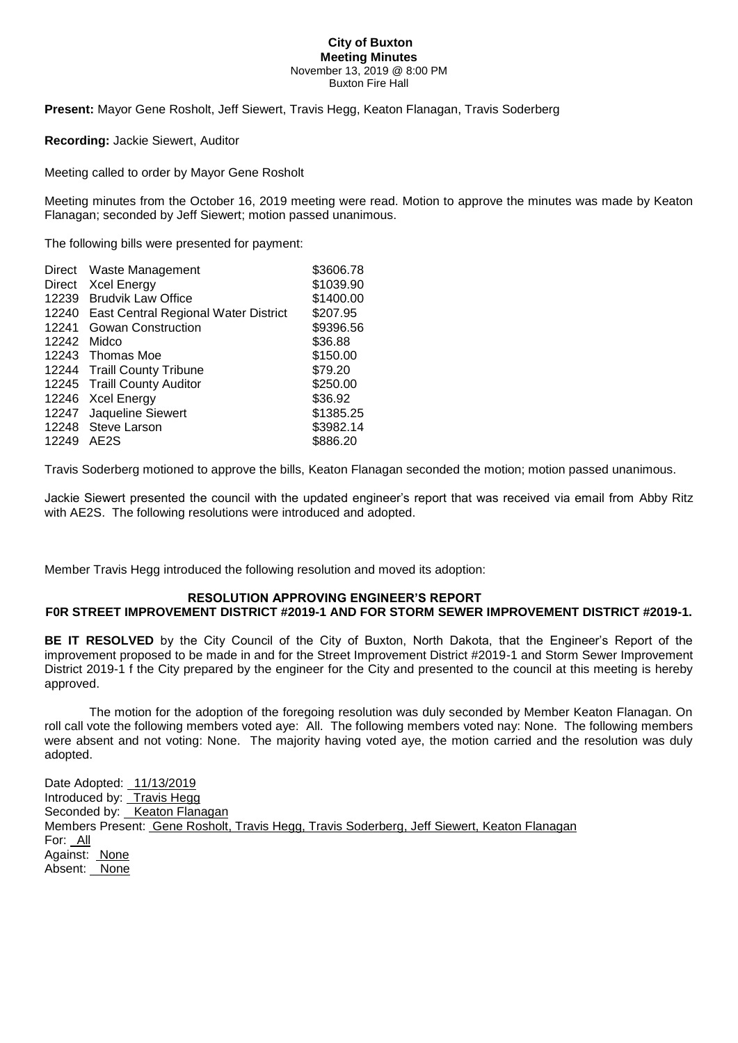#### **City of Buxton Meeting Minutes** November 13, 2019 @ 8:00 PM Buxton Fire Hall

**Present:** Mayor Gene Rosholt, Jeff Siewert, Travis Hegg, Keaton Flanagan, Travis Soderberg

### **Recording:** Jackie Siewert, Auditor

Meeting called to order by Mayor Gene Rosholt

Meeting minutes from the October 16, 2019 meeting were read. Motion to approve the minutes was made by Keaton Flanagan; seconded by Jeff Siewert; motion passed unanimous.

The following bills were presented for payment:

| Waste Management                              | \$3606.78 |
|-----------------------------------------------|-----------|
| <b>Xcel Energy</b>                            | \$1039.90 |
| <b>Brudvik Law Office</b><br>12239            | \$1400.00 |
| 12240<br>East Central Regional Water District | \$207.95  |
| Gowan Construction                            | \$9396.56 |
| 12242<br>Midco                                | \$36.88   |
| 12243 Thomas Moe                              | \$150.00  |
| 12244 Traill County Tribune                   | \$79.20   |
| 12245 Traill County Auditor                   | \$250.00  |
| 12246 Xcel Energy                             | \$36.92   |
| 12247 Jaqueline Siewert                       | \$1385.25 |
| 12248 Steve Larson                            | \$3982.14 |
| AE2S                                          | \$886.20  |
|                                               |           |

Travis Soderberg motioned to approve the bills, Keaton Flanagan seconded the motion; motion passed unanimous.

Jackie Siewert presented the council with the updated engineer's report that was received via email from Abby Ritz with AE2S. The following resolutions were introduced and adopted.

Member Travis Hegg introduced the following resolution and moved its adoption:

# **RESOLUTION APPROVING ENGINEER'S REPORT**

#### **F0R STREET IMPROVEMENT DISTRICT #2019-1 AND FOR STORM SEWER IMPROVEMENT DISTRICT #2019-1.**

**BE IT RESOLVED** by the City Council of the City of Buxton, North Dakota, that the Engineer's Report of the improvement proposed to be made in and for the Street Improvement District #2019-1 and Storm Sewer Improvement District 2019-1 f the City prepared by the engineer for the City and presented to the council at this meeting is hereby approved.

The motion for the adoption of the foregoing resolution was duly seconded by Member Keaton Flanagan. On roll call vote the following members voted aye: All. The following members voted nay: None. The following members were absent and not voting: None. The majority having voted aye, the motion carried and the resolution was duly adopted.

Date Adopted: 11/13/2019 Introduced by: Travis Hegg Seconded by: Keaton Flanagan Members Present: Gene Rosholt, Travis Hegg, Travis Soderberg, Jeff Siewert, Keaton Flanagan For: All Against: None Absent: None